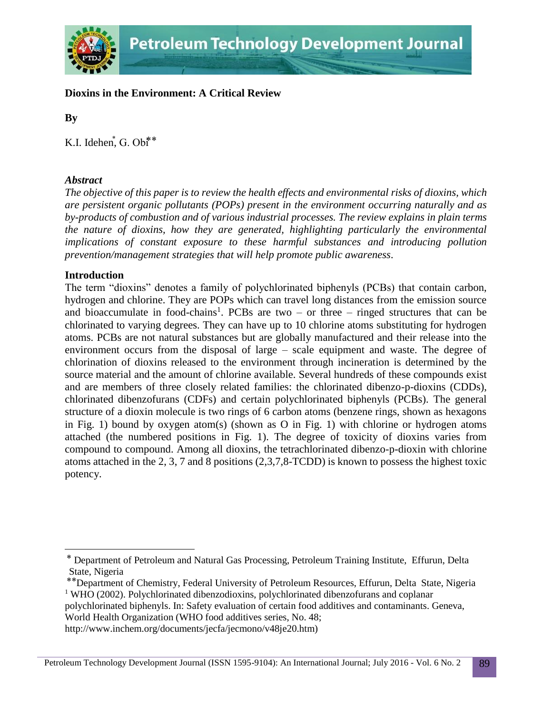

# **Dioxins in the Environment: A Critical Review**

**By**

K.I. Idehen<sup>\*</sup>, G. Obi<sup>\*\*</sup>

## *Abstract*

*The objective of this paper is to review the health effects and environmental risks of dioxins, which are persistent organic pollutants (POPs) present in the environment occurring naturally and as by-products of combustion and of various industrial processes. The review explains in plain terms the nature of dioxins, how they are generated, highlighting particularly the environmental implications of constant exposure to these harmful substances and introducing pollution prevention/management strategies that will help promote public awareness.*

### **Introduction**

 $\overline{a}$ 

The term "dioxins" denotes a family of polychlorinated biphenyls (PCBs) that contain carbon, hydrogen and chlorine. They are POPs which can travel long distances from the emission source and bioaccumulate in food-chains<sup>1</sup>. PCBs are two – or three – ringed structures that can be chlorinated to varying degrees. They can have up to 10 chlorine atoms substituting for hydrogen atoms. PCBs are not natural substances but are globally manufactured and their release into the environment occurs from the disposal of large – scale equipment and waste. The degree of chlorination of dioxins released to the environment through incineration is determined by the source material and the amount of chlorine available. Several hundreds of these compounds exist and are members of three closely related families: the chlorinated dibenzo-p-dioxins (CDDs), chlorinated dibenzofurans (CDFs) and certain polychlorinated biphenyls (PCBs). The general structure of a dioxin molecule is two rings of 6 carbon atoms (benzene rings, shown as hexagons in Fig. 1) bound by oxygen atom(s) (shown as O in Fig. 1) with chlorine or hydrogen atoms attached (the numbered positions in Fig. 1). The degree of toxicity of dioxins varies from compound to compound. Among all dioxins, the tetrachlorinated dibenzo-p-dioxin with chlorine atoms attached in the 2, 3, 7 and 8 positions (2,3,7,8-TCDD) is known to possess the highest toxic potency.

polychlorinated biphenyls. In: Safety evaluation of certain food additives and contaminants. Geneva, World Health Organization (WHO food additives series, No. 48;

<sup>⃰</sup> Department of Petroleum and Natural Gas Processing, Petroleum Training Institute, Effurun, Delta State, Nigeria

<sup>⃰ ⃰</sup> Department of Chemistry, Federal University of Petroleum Resources, Effurun, Delta State, Nigeria <sup>1</sup> WHO (2002). Polychlorinated dibenzodioxins, polychlorinated dibenzofurans and coplanar

http://www.inchem.org/documents/jecfa/jecmono/v48je20.htm)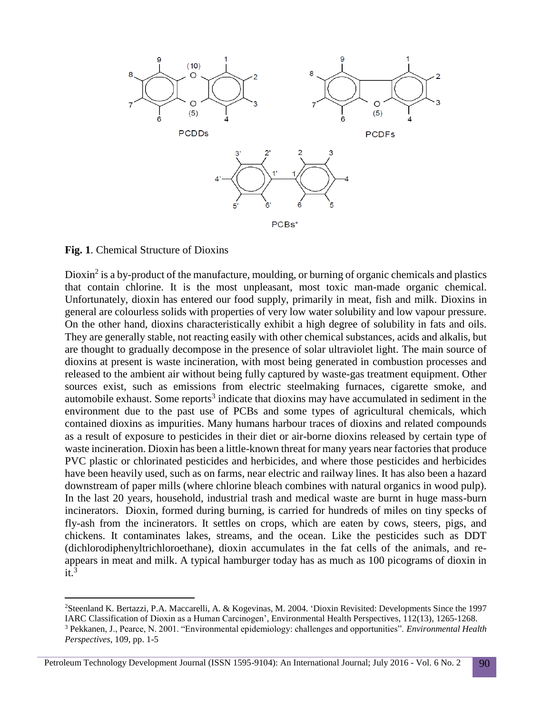

**Fig. 1**. Chemical Structure of Dioxins

 $\overline{a}$ 

Dioxin<sup>2</sup> is a by-product of the manufacture, moulding, or burning of organic chemicals and plastics that contain chlorine. It is the most unpleasant, most toxic man-made organic chemical. Unfortunately, dioxin has entered our food supply, primarily in meat, fish and milk. Dioxins in general are colourless solids with properties of very low water solubility and low vapour pressure. On the other hand, dioxins characteristically exhibit a high degree of solubility in fats and oils. They are generally stable, not reacting easily with other chemical substances, acids and alkalis, but are thought to gradually decompose in the presence of solar ultraviolet light. The main source of dioxins at present is waste incineration, with most being generated in combustion processes and released to the ambient air without being fully captured by waste-gas treatment equipment. Other sources exist, such as emissions from electric steelmaking furnaces, cigarette smoke, and automobile exhaust. Some reports<sup>3</sup> indicate that dioxins may have accumulated in sediment in the environment due to the past use of PCBs and some types of agricultural chemicals, which contained dioxins as impurities. Many humans harbour traces of dioxins and related compounds as a result of exposure to pesticides in their diet or air-borne dioxins released by certain type of waste incineration. Dioxin has been a little-known threat for many years near factories that produce PVC plastic or chlorinated pesticides and herbicides, and where those pesticides and herbicides have been heavily used, such as on farms, near electric and railway lines. It has also been a hazard downstream of paper mills (where chlorine bleach combines with natural organics in wood pulp). In the last 20 years, household, industrial trash and medical waste are burnt in huge mass-burn incinerators. Dioxin, formed during burning, is carried for hundreds of miles on tiny specks of fly-ash from the incinerators. It settles on crops, which are eaten by cows, steers, pigs, and chickens. It contaminates lakes, streams, and the ocean. Like the pesticides such as DDT (dichlorodiphenyltrichloroethane), dioxin accumulates in the fat cells of the animals, and reappears in meat and milk. A typical hamburger today has as much as 100 picograms of dioxin in  $it.<sup>3</sup>$ 

Petroleum Technology Development Journal (ISSN 1595-9104): An International Journal; July 2016 - Vol. 6 No. 2 90

<sup>2</sup>Steenland K. Bertazzi, P.A. Maccarelli, A. & Kogevinas, M. 2004. 'Dioxin Revisited: Developments Since the 1997 IARC Classification of Dioxin as a Human Carcinogen', Environmental Health Perspectives, 112(13), 1265-1268.

<sup>3</sup> Pekkanen, J., Pearce, N. 2001. "Environmental epidemiology: challenges and opportunities". *Environmental Health Perspectives*, 109, pp. 1-5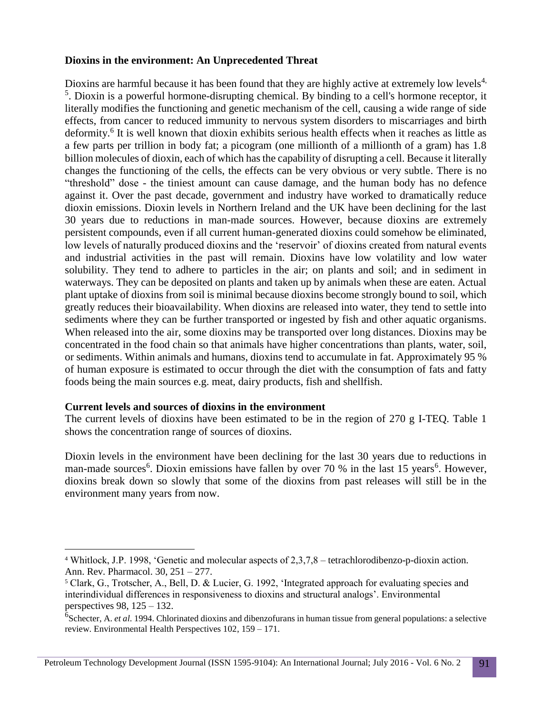### **Dioxins in the environment: An Unprecedented Threat**

Dioxins are harmful because it has been found that they are highly active at extremely low levels<sup>4,</sup> <sup>5</sup>. Dioxin is a powerful hormone-disrupting chemical. By binding to a cell's hormone receptor, it literally modifies the functioning and genetic mechanism of the cell, causing a wide range of side effects, from cancer to reduced immunity to nervous system disorders to miscarriages and birth deformity.<sup>6</sup> It is well known that dioxin exhibits serious health effects when it reaches as little as a few parts per trillion in body fat; a picogram (one millionth of a millionth of a gram) has 1.8 billion molecules of dioxin, each of which has the capability of disrupting a cell. Because it literally changes the functioning of the cells, the effects can be very obvious or very subtle. There is no "threshold" dose - the tiniest amount can cause damage, and the human body has no defence against it. Over the past decade, government and industry have worked to dramatically reduce dioxin emissions. Dioxin levels in Northern Ireland and the UK have been declining for the last 30 years due to reductions in man-made sources. However, because dioxins are extremely persistent compounds, even if all current human-generated dioxins could somehow be eliminated, low levels of naturally produced dioxins and the 'reservoir' of dioxins created from natural events and industrial activities in the past will remain. Dioxins have low volatility and low water solubility. They tend to adhere to particles in the air; on plants and soil; and in sediment in waterways. They can be deposited on plants and taken up by animals when these are eaten. Actual plant uptake of dioxins from soil is minimal because dioxins become strongly bound to soil, which greatly reduces their bioavailability. When dioxins are released into water, they tend to settle into sediments where they can be further transported or ingested by fish and other aquatic organisms. When released into the air, some dioxins may be transported over long distances. Dioxins may be concentrated in the food chain so that animals have higher concentrations than plants, water, soil, or sediments. Within animals and humans, dioxins tend to accumulate in fat. Approximately 95 % of human exposure is estimated to occur through the diet with the consumption of fats and fatty foods being the main sources e.g. meat, dairy products, fish and shellfish.

#### **Current levels and sources of dioxins in the environment**

 $\overline{a}$ 

The current levels of dioxins have been estimated to be in the region of 270 g I-TEQ. Table 1 shows the concentration range of sources of dioxins.

Dioxin levels in the environment have been declining for the last 30 years due to reductions in man-made sources<sup>6</sup>. Dioxin emissions have fallen by over 70 % in the last 15 years<sup>6</sup>. However, dioxins break down so slowly that some of the dioxins from past releases will still be in the environment many years from now.

<sup>4</sup> Whitlock, J.P. 1998, 'Genetic and molecular aspects of 2,3,7,8 – tetrachlorodibenzo-p-dioxin action. Ann. Rev. Pharmacol. 30, 251 – 277.

<sup>5</sup> Clark, G., Trotscher, A., Bell, D. & Lucier, G. 1992, 'Integrated approach for evaluating species and interindividual differences in responsiveness to dioxins and structural analogs'. Environmental perspectives 98, 125 – 132.

<sup>&</sup>lt;sup>6</sup>Schecter, A. *et al.* 1994. Chlorinated dioxins and dibenzofurans in human tissue from general populations: a selective review. Environmental Health Perspectives 102, 159 – 171.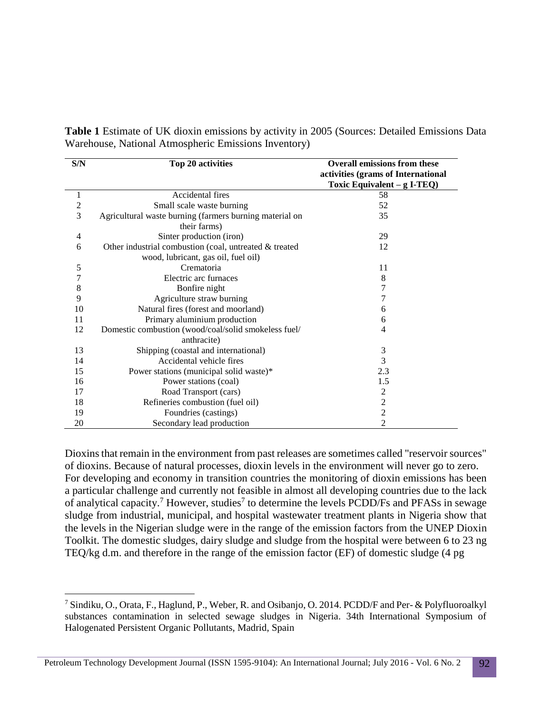**Table 1** Estimate of UK dioxin emissions by activity in 2005 (Sources: Detailed Emissions Data Warehouse, National Atmospheric Emissions Inventory)

| S/N           | Top 20 activities                                                                             | <b>Overall emissions from these</b><br>activities (grams of International |
|---------------|-----------------------------------------------------------------------------------------------|---------------------------------------------------------------------------|
|               |                                                                                               | Toxic Equivalent $-$ g I-TEQ)                                             |
| 1             | Accidental fires                                                                              | 58                                                                        |
| $\mathfrak 2$ | Small scale waste burning                                                                     | 52                                                                        |
| 3             | Agricultural waste burning (farmers burning material on<br>their farms)                       | 35                                                                        |
| 4             | Sinter production (iron)                                                                      | 29                                                                        |
| 6             | Other industrial combustion (coal, untreated & treated<br>wood, lubricant, gas oil, fuel oil) | 12                                                                        |
| 5             | Crematoria                                                                                    | 11                                                                        |
| 7             | Electric arc furnaces                                                                         | 8                                                                         |
| 8             | Bonfire night                                                                                 | 7                                                                         |
| 9             | Agriculture straw burning                                                                     | 7                                                                         |
| 10            | Natural fires (forest and moorland)                                                           | 6                                                                         |
| 11            | Primary aluminium production                                                                  | 6                                                                         |
| 12            | Domestic combustion (wood/coal/solid smokeless fuel/                                          | 4                                                                         |
|               | anthracite)                                                                                   |                                                                           |
| 13            | Shipping (coastal and international)                                                          | 3                                                                         |
| 14            | Accidental vehicle fires                                                                      | 3                                                                         |
| 15            | Power stations (municipal solid waste)*                                                       | 2.3                                                                       |
| 16            | Power stations (coal)                                                                         | 1.5                                                                       |
| 17            | Road Transport (cars)                                                                         | $\mathfrak{2}$                                                            |
| 18            | Refineries combustion (fuel oil)                                                              | $\overline{2}$                                                            |
| 19            | Foundries (castings)                                                                          | $\overline{2}$                                                            |
| 20            | Secondary lead production                                                                     | 2                                                                         |

Dioxins that remain in the environment from past releases are sometimes called "reservoir sources" of dioxins. Because of natural processes, dioxin levels in the environment will never go to zero. For developing and economy in transition countries the monitoring of dioxin emissions has been a particular challenge and currently not feasible in almost all developing countries due to the lack of analytical capacity.<sup>7</sup> However, studies<sup>7</sup> to determine the levels PCDD/Fs and PFASs in sewage sludge from industrial, municipal, and hospital wastewater treatment plants in Nigeria show that the levels in the Nigerian sludge were in the range of the emission factors from the UNEP Dioxin Toolkit. The domestic sludges, dairy sludge and sludge from the hospital were between 6 to 23 ng TEQ/kg d.m. and therefore in the range of the emission factor (EF) of domestic sludge (4 pg

 $\overline{a}$ 

<sup>7</sup> Sindiku, O., Orata, F., Haglund, P., Weber, R. and Osibanjo, O. 2014. PCDD/F and Per- & Polyfluoroalkyl substances contamination in selected sewage sludges in Nigeria. 34th International Symposium of Halogenated Persistent Organic Pollutants, Madrid, Spain